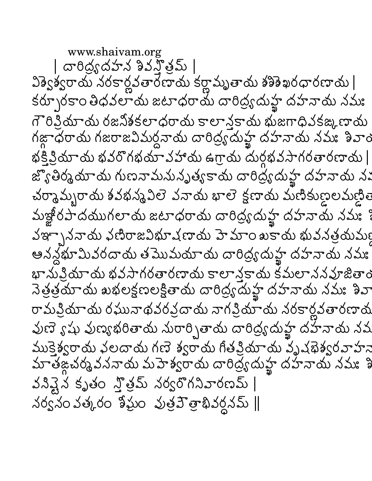www.shaivam.org | దారిద్రభహన శివన్తోమ్ | విశ్వేశ్వరాయ నరకార్ణవతారణాయ కర్ణామృతాయ శశిశేఖరధారణాయ | కర్చూరకాం తిధవలాను జటాధరాను దారిద్ర్యమ్హ దహనాను నమః గౌరిక్రియాయ రజనికకలాధరాయ కాలాన్తకాదు భుజగాధివకఙ్కణాయ గజ్గాధరాయ గజరాజవిమర్ధనాయ దారిద్ర్యమ్హ్హ దహనాయ నమః శివాం భక్తిక్రియాయ భవరోగభయావహాయ ఉగ్రాయ దుర్గభవసాగరతారణాయ | జ్యొతిర్మమాయ గుణవామనునృత్యకాయ దారిద్ర్యమ్హ దహనాయ న: చర్మామ్బరాయ శవభన్మవిలె వనాయ భాలె క్షణాయ మణికుణ్ణలమణ్ణిలె మజ్జీరపాదముగలాదు జటాధరాదు దారిద్ర్యమహ్ఖ దహనాదు నమః్ వఞ్ఛాననాయ ఛణిరాజవిభూషణాయ హెమాం ఖకాయ భువనత్రయమ్య ఆనన్లభూమివరదాయ తమొమయాయ దారిద్ర్యదుహ్ఖ దహనాయ నమః భానుప్రియాయ భవసాగరతారణాయ కాలాన్తకాయ కమలాననవూజితాం రామప్రియాయ రఘునాథవరప్రదాయ నాగప్రియాయ నరకార్లవతారణాయ వుణె ్షషు వుణ్యభరితాయ నురార్చితాయ దారిద్ర్యదుహ్ఖ దహనాయ నవ ముక్తెశ్వరాయ వలదాయ గణె శ్వరాయ గీతప్రియాయ వృష్ణెశ్వరవాహన మాతఙ్ధచర్మవననాయ మహెశ్వరాయ దారిద్ర్యదుహ్ఖ దహనాయ నమః శి వసివ్టైన కృతం స్త్రిమ్ నర్వరొగనివారణమ్ |